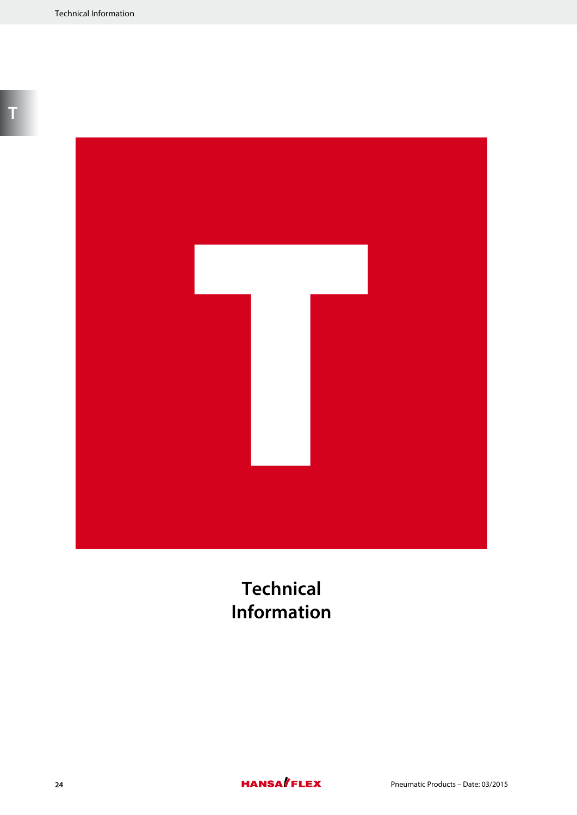

**Technical Information**

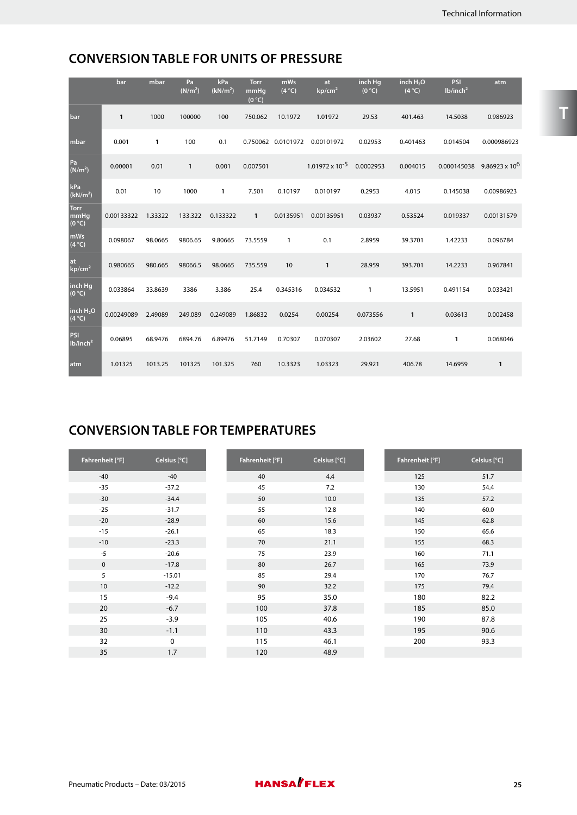# **CONVERSION TABLE FOR UNITS OF PRESSURE**

|                               | bar          | mbar         | Pa<br>(N/m <sup>2</sup> ) | kPa<br>(kN/m <sup>2</sup> ) | <b>Torr</b><br>mmHq<br>(0 °C) | mWs<br>(4 °C)      | at<br>kp/cm <sup>2</sup> | inch Hg<br>(0 °C) | inch $H_2O$<br>(4°C) | PSI<br>lb/inch <sup>2</sup> | atm                   |
|-------------------------------|--------------|--------------|---------------------------|-----------------------------|-------------------------------|--------------------|--------------------------|-------------------|----------------------|-----------------------------|-----------------------|
| bar                           | $\mathbf{1}$ | 1000         | 100000                    | 100                         | 750.062                       | 10.1972            | 1.01972                  | 29.53             | 401.463              | 14.5038                     | 0.986923              |
| mbar                          | 0.001        | $\mathbf{1}$ | 100                       | 0.1                         |                               | 0.750062 0.0101972 | 0.00101972               | 0.02953           | 0.401463             | 0.014504                    | 0.000986923           |
| Pa<br>(N/m <sup>2</sup> )     | 0.00001      | 0.01         | 1                         | 0.001                       | 0.007501                      |                    | $1.01972 \times 10^{-5}$ | 0.0002953         | 0.004015             | 0.000145038                 | $9.86923 \times 10^6$ |
| kPa<br>(kN/m <sup>2</sup> )   | 0.01         | 10           | 1000                      | $\mathbf{1}$                | 7.501                         | 0.10197            | 0.010197                 | 0.2953            | 4.015                | 0.145038                    | 0.00986923            |
| <b>Torr</b><br>mmHg<br>(0 °C) | 0.00133322   | 1.33322      | 133.322                   | 0.133322                    | $\mathbf{1}$                  | 0.0135951          | 0.00135951               | 0.03937           | 0.53524              | 0.019337                    | 0.00131579            |
| mWs<br>(4°C)                  | 0.098067     | 98.0665      | 9806.65                   | 9.80665                     | 73.5559                       | 1                  | 0.1                      | 2.8959            | 39.3701              | 1.42233                     | 0.096784              |
| at<br>kp/cm <sup>2</sup>      | 0.980665     | 980.665      | 98066.5                   | 98.0665                     | 735.559                       | 10                 | $\mathbf{1}$             | 28.959            | 393.701              | 14.2233                     | 0.967841              |
| inch Hg<br>(0 °C)             | 0.033864     | 33.8639      | 3386                      | 3.386                       | 25.4                          | 0.345316           | 0.034532                 | 1                 | 13.5951              | 0.491154                    | 0.033421              |
| inch $H_2O$<br>(4°C)          | 0.00249089   | 2.49089      | 249.089                   | 0.249089                    | 1.86832                       | 0.0254             | 0.00254                  | 0.073556          | $\mathbf{1}$         | 0.03613                     | 0.002458              |
| PSI<br>lb/inch <sup>2</sup>   | 0.06895      | 68.9476      | 6894.76                   | 6.89476                     | 51.7149                       | 0.70307            | 0.070307                 | 2.03602           | 27.68                | 1                           | 0.068046              |
| atm                           | 1.01325      | 1013.25      | 101325                    | 101.325                     | 760                           | 10.3323            | 1.03323                  | 29.921            | 406.78               | 14.6959                     | $\mathbf{1}$          |

# **CONVERSION TABLE FOR TEMPERATURES**

| Fahrenheit [°F] | Celsius [°C] | Fahrenheit [°F] | Celsius [°C] | Fahrenheit [°F] | Celsius [°C] |
|-----------------|--------------|-----------------|--------------|-----------------|--------------|
| $-40$           | $-40$        | 40              | 4.4          | 125             | 51.7         |
| $-35$           | $-37.2$      | 45              | 7.2          | 130             | 54.4         |
| $-30$           | $-34.4$      | 50              | 10.0         | 135             | 57.2         |
| $-25$           | $-31.7$      | 55              | 12.8         | 140             | 60.0         |
| $-20$           | $-28.9$      | 60              | 15.6         | 145             | 62.8         |
| $-15$           | $-26.1$      | 65              | 18.3         | 150             | 65.6         |
| $-10$           | $-23.3$      | 70              | 21.1         | 155             | 68.3         |
| $-5$            | $-20.6$      | 75              | 23.9         | 160             | 71.1         |
| $\mathbf 0$     | $-17.8$      | 80              | 26.7         | 165             | 73.9         |
| 5               | $-15.01$     | 85              | 29.4         | 170             | 76.7         |
| 10              | $-12.2$      | 90              | 32.2         | 175             | 79.4         |
| 15              | $-9.4$       | 95              | 35.0         | 180             | 82.2         |
| 20              | $-6.7$       | 100             | 37.8         | 185             | 85.0         |
| 25              | $-3.9$       | 105             | 40.6         | 190             | 87.8         |
| 30              | $-1.1$       | 110             | 43.3         | 195             | 90.6         |
| 32              | 0            | 115             | 46.1         | 200             | 93.3         |
| 35              | 1.7          | 120             | 48.9         |                 |              |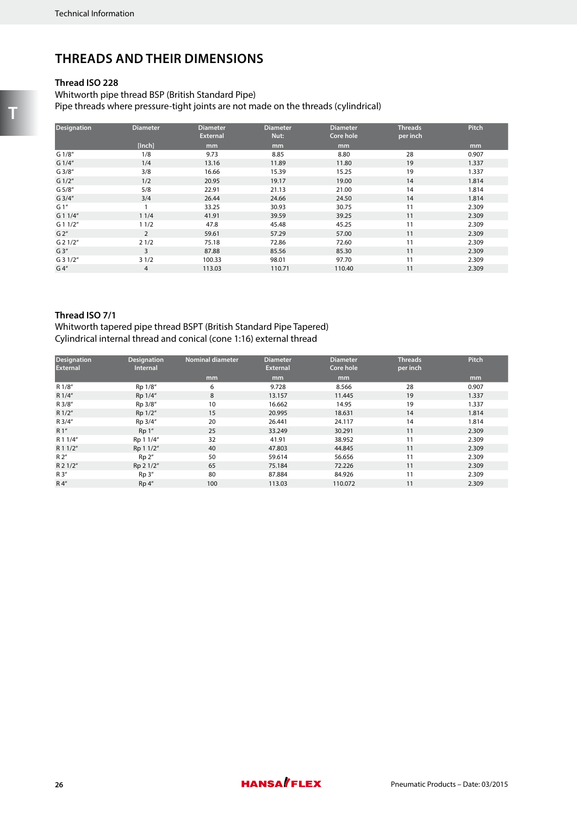## **THREADS AND THEIR DIMENSIONS**

## **Thread ISO 228**

Whitworth pipe thread BSP (British Standard Pipe) Pipe threads where pressure-tight joints are not made on the threads (cylindrical)

| <b>Designation</b> | <b>Diameter</b> | <b>Diameter</b><br><b>External</b> | <b>Diameter</b><br>Nut: | <b>Diameter</b><br>Core hole | <b>Threads</b><br>per inch | <b>Pitch</b> |
|--------------------|-----------------|------------------------------------|-------------------------|------------------------------|----------------------------|--------------|
|                    | [Inch]          | mm                                 | mm                      | mm                           |                            | mm           |
| G 1/8"             | 1/8             | 9.73                               | 8.85                    | 8.80                         | 28                         | 0.907        |
| G 1/4"             | 1/4             | 13.16                              | 11.89                   | 11.80                        | 19                         | 1.337        |
| G3/8''             | 3/8             | 16.66                              | 15.39                   | 15.25                        | 19                         | 1.337        |
| G 1/2"             | 1/2             | 20.95                              | 19.17                   | 19.00                        | 14                         | 1.814        |
| G 5/8"             | 5/8             | 22.91                              | 21.13                   | 21.00                        | 14                         | 1.814        |
| $G$ 3/4"           | 3/4             | 26.44                              | 24.66                   | 24.50                        | 14                         | 1.814        |
| G 1"               |                 | 33.25                              | 30.93                   | 30.75                        | 11                         | 2.309        |
| G 1 1/4"           | 11/4            | 41.91                              | 39.59                   | 39.25                        | 11                         | 2.309        |
| $G$ 1 1/2"         | 11/2            | 47.8                               | 45.48                   | 45.25                        | 11                         | 2.309        |
| G 2''              | $\overline{2}$  | 59.61                              | 57.29                   | 57.00                        | 11                         | 2.309        |
| $G$ 2 1/2"         | 21/2            | 75.18                              | 72.86                   | 72.60                        | 11                         | 2.309        |
| G3''               | 3               | 87.88                              | 85.56                   | 85.30                        | 11                         | 2.309        |
| $G$ 3 1/2"         | 31/2            | 100.33                             | 98.01                   | 97.70                        | 11                         | 2.309        |
| G 4''              | $\overline{4}$  | 113.03                             | 110.71                  | 110.40                       | 11                         | 2.309        |

## **Thread ISO 7/1**

Whitworth tapered pipe thread BSPT (British Standard Pipe Tapered) Cylindrical internal thread and conical (cone 1:16) external thread

| <b>Designation</b><br><b>External</b> | <b>Designation</b><br><b>Internal</b> | <b>Nominal diameter</b> | <b>Diameter</b><br><b>External</b> | <b>Diameter</b><br>Core hole | <b>Threads</b><br>per inch | Pitch |
|---------------------------------------|---------------------------------------|-------------------------|------------------------------------|------------------------------|----------------------------|-------|
|                                       |                                       | mm                      | mm                                 | mm                           |                            | mm    |
| R 1/8"                                | Rp 1/8"                               | 6                       | 9.728                              | 8.566                        | 28                         | 0.907 |
| R 1/4"                                | Rp 1/4"                               | 8                       | 13.157                             | 11.445                       | 19                         | 1.337 |
| R 3/8"                                | Rp 3/8"                               | 10                      | 16.662                             | 14.95                        | 19                         | 1.337 |
| R 1/2"                                | Rp 1/2"                               | 15                      | 20.995                             | 18.631                       | 14                         | 1.814 |
| R 3/4"                                | Rp 3/4"                               | 20                      | 26.441                             | 24.117                       | 14                         | 1.814 |
| R 1"                                  | Rp 1"                                 | 25                      | 33.249                             | 30.291                       | 11                         | 2.309 |
| R 1 1/4"                              | Rp 1 1/4"                             | 32                      | 41.91                              | 38.952                       | 11                         | 2.309 |
| R 1 1/2"                              | Rp 1 1/2"                             | 40                      | 47.803                             | 44.845                       | 11                         | 2.309 |
| R2''                                  | Rp <sub>2</sub>                       | 50                      | 59.614                             | 56.656                       | 11                         | 2.309 |
| R 2 1/2"                              | Rp 2 1/2"                             | 65                      | 75.184                             | 72.226                       | 11                         | 2.309 |
| R 3"                                  | $Rp3$ "                               | 80                      | 87.884                             | 84.926                       | 11                         | 2.309 |
| R4''                                  | Rp <sub>4</sub>                       | 100                     | 113.03                             | 110.072                      | 11                         | 2.309 |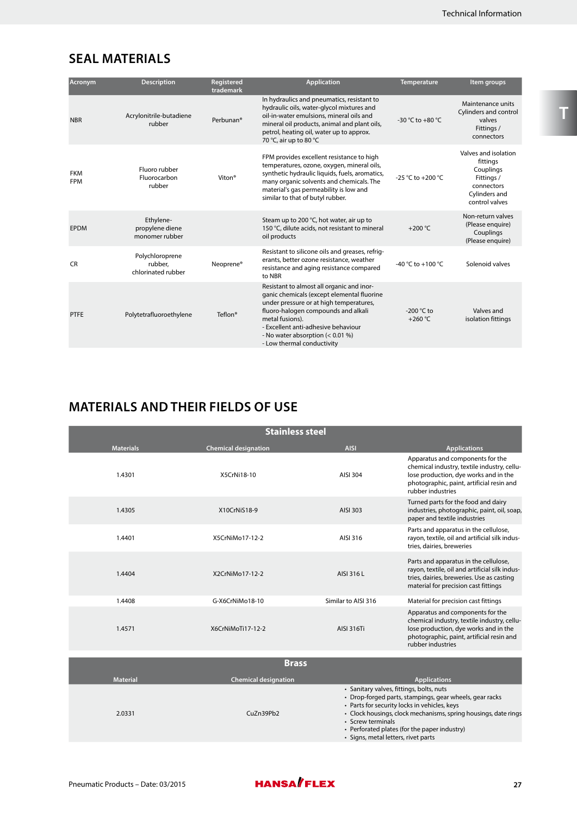# **SEAL MATERIALS**

| Acronym                  | <b>Description</b>                               | Registered<br>trademark | <b>Application</b>                                                                                                                                                                                                                                                                                    | <b>Temperature</b>             | Item groups                                                                                                  |
|--------------------------|--------------------------------------------------|-------------------------|-------------------------------------------------------------------------------------------------------------------------------------------------------------------------------------------------------------------------------------------------------------------------------------------------------|--------------------------------|--------------------------------------------------------------------------------------------------------------|
| <b>NBR</b>               | Acrylonitrile-butadiene<br>rubber                | Perbunan <sup>®</sup>   | In hydraulics and pneumatics, resistant to<br>hydraulic oils, water-glycol mixtures and<br>oil-in-water emulsions, mineral oils and<br>mineral oil products, animal and plant oils,<br>petrol, heating oil, water up to approx.<br>70 °C, air up to 80 °C                                             | -30 °C to +80 °C               | Maintenance units<br>Cylinders and control<br>valves<br>Fittings /<br>connectors                             |
| <b>FKM</b><br><b>FPM</b> | Fluoro rubber<br>Fluorocarbon<br>rubber          | Viton <sup>®</sup>      | FPM provides excellent resistance to high<br>temperatures, ozone, oxygen, mineral oils,<br>synthetic hydraulic liquids, fuels, aromatics,<br>many organic solvents and chemicals. The<br>material's gas permeability is low and<br>similar to that of butyl rubber.                                   | -25 °C to +200 °C              | Valves and isolation<br>fittings<br>Couplings<br>Fittings /<br>connectors<br>Cylinders and<br>control valves |
| <b>EPDM</b>              | Ethylene-<br>propylene diene<br>monomer rubber   |                         | Steam up to 200 °C, hot water, air up to<br>150 °C, dilute acids, not resistant to mineral<br>oil products                                                                                                                                                                                            | $+200^{\circ}$ C               | Non-return valves<br>(Please enquire)<br>Couplings<br>(Please enquire)                                       |
| <b>CR</b>                | Polychloroprene<br>rubber.<br>chlorinated rubber | Neoprene <sup>®</sup>   | Resistant to silicone oils and greases, refrig-<br>erants, better ozone resistance, weather<br>resistance and aging resistance compared<br>to NBR                                                                                                                                                     | -40 °C to +100 °C              | Solenoid valves                                                                                              |
| <b>PTFE</b>              | Polytetrafluoroethylene                          | Teflon <sup>®</sup>     | Resistant to almost all organic and inor-<br>ganic chemicals (except elemental fluorine<br>under pressure or at high temperatures,<br>fluoro-halogen compounds and alkali<br>metal fusions).<br>- Excellent anti-adhesive behaviour<br>- No water absorption (< 0.01 %)<br>- Low thermal conductivity | -200 °C to<br>$+260^{\circ}$ C | Valves and<br>isolation fittings                                                                             |

# **MATERIALS AND THEIR FIELDS OF USE**

|                  | <b>Stainless steel</b>      |                     |                                                                                                                                                                                            |  |  |  |  |  |  |  |
|------------------|-----------------------------|---------------------|--------------------------------------------------------------------------------------------------------------------------------------------------------------------------------------------|--|--|--|--|--|--|--|
| <b>Materials</b> | <b>Chemical designation</b> | <b>AISI</b>         | <b>Applications</b>                                                                                                                                                                        |  |  |  |  |  |  |  |
| 1.4301           | X5CrNi18-10                 | AISI 304            | Apparatus and components for the<br>chemical industry, textile industry, cellu-<br>lose production, dye works and in the<br>photographic, paint, artificial resin and<br>rubber industries |  |  |  |  |  |  |  |
| 1.4305           | X10CrNiS18-9                | AISI 303            | Turned parts for the food and dairy<br>industries, photographic, paint, oil, soap,<br>paper and textile industries                                                                         |  |  |  |  |  |  |  |
| 1.4401           | X5CrNiMo17-12-2             | AISI 316            | Parts and apparatus in the cellulose,<br>rayon, textile, oil and artificial silk indus-<br>tries, dairies, breweries                                                                       |  |  |  |  |  |  |  |
| 1.4404           | X2CrNiMo17-12-2             | AISI 316 L          | Parts and apparatus in the cellulose,<br>rayon, textile, oil and artificial silk indus-<br>tries, dairies, breweries. Use as casting<br>material for precision cast fittings               |  |  |  |  |  |  |  |
| 1.4408           | G-X6CrNiMo18-10             | Similar to AISI 316 | Material for precision cast fittings                                                                                                                                                       |  |  |  |  |  |  |  |
| 1.4571           | X6CrNiMoTi17-12-2           | <b>AISI 316Ti</b>   | Apparatus and components for the<br>chemical industry, textile industry, cellu-<br>lose production, dye works and in the<br>photographic, paint, artificial resin and<br>rubber industries |  |  |  |  |  |  |  |

|                 | <b>Brass</b>                |                                                                                                                                                                                                                                                                                                                                    |
|-----------------|-----------------------------|------------------------------------------------------------------------------------------------------------------------------------------------------------------------------------------------------------------------------------------------------------------------------------------------------------------------------------|
| <b>Material</b> | <b>Chemical designation</b> | <b>Applications</b>                                                                                                                                                                                                                                                                                                                |
| 2.0331          | CuZn39Pb2                   | · Sanitary valves, fittings, bolts, nuts<br>• Drop-forged parts, stampings, gear wheels, gear racks<br>• Parts for security locks in vehicles, keys<br>• Clock housings, clock mechanisms, spring housings, date rings<br>• Screw terminals<br>• Perforated plates (for the paper industry)<br>· Signs, metal letters, rivet parts |

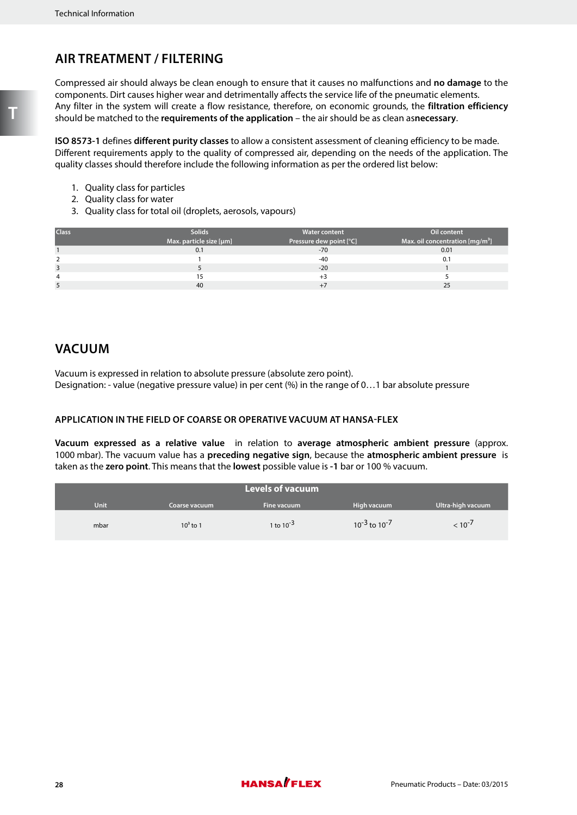# **AIR TREATMENT / FILTERING**

Compressed air should always be clean enough to ensure that it causes no malfunctions and **no damage** to the components. Dirt causes higher wear and detrimentally affects the service life of the pneumatic elements. Any filter in the system will create a flow resistance, therefore, on economic grounds, the **filtration efficiency** should be matched to the **requirements of the application** – the air should be as clean as**necessary**.

**ISO 8573-1** defines **different purity classes** to allow a consistent assessment of cleaning efficiency to be made. Different requirements apply to the quality of compressed air, depending on the needs of the application. The quality classes should therefore include the following information as per the ordered list below:

- 1. Quality class for particles
- 2. Quality class for water
- 3. Quality class for total oil (droplets, aerosols, vapours)

| <b>Class</b> | <b>Solids</b>           | <b>Water content</b>    | Oil content                      |
|--------------|-------------------------|-------------------------|----------------------------------|
|              | Max. particle size [µm] | Pressure dew point [°C] | Max. oil concentration $[mg/m3]$ |
|              | 0.1                     | $-70$                   | 0.01                             |
|              |                         | -40                     | 0.1                              |
|              |                         | $-20$                   |                                  |
|              |                         | $+3$                    |                                  |
|              | 40                      |                         | 25                               |

## **VACUUM**

Vacuum is expressed in relation to absolute pressure (absolute zero point). Designation: - value (negative pressure value) in per cent (%) in the range of 0…1 bar absolute pressure

## **APPLICATION IN THE FIELD OF COARSE OR OPERATIVE VACUUM AT HANSA-FLEX**

**Vacuum expressed as a relative value** in relation to **average atmospheric ambient pressure** (approx. 1000 mbar). The vacuum value has a **preceding negative sign**, because the **atmospheric ambient pressure** is taken as the **zero point**. This means that the **lowest** possible value is **-1** bar or 100 % vacuum.

| <b>Levels of vacuum</b> |               |                |                        |                   |  |  |  |
|-------------------------|---------------|----------------|------------------------|-------------------|--|--|--|
| <b>Unit</b>             | Coarse vacuum | Fine vacuum    | High vacuum            | Ultra-high vacuum |  |  |  |
| mbar                    | $10^3$ to 1   | 1 to $10^{-3}$ | $10^{-3}$ to $10^{-7}$ | $< 10^{-7}$       |  |  |  |

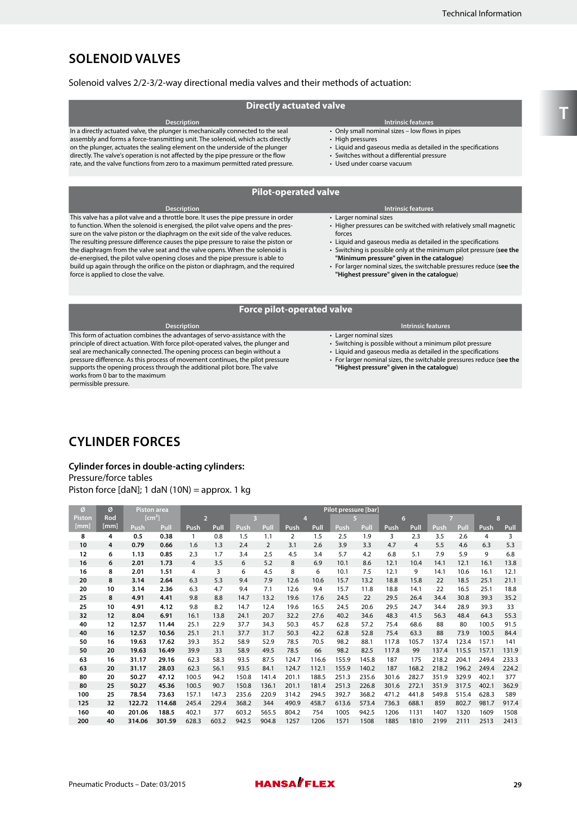## **SOLENOID VALVES**

#### Solenoid valves 2/2-3/2-way directional media valves and their methods of actuation:

#### **Directly actuated valve**

**Description Intrinsic features** In a directly actuated valve, the plunger is mechanically connected to the seal assembly and forms a force-transmitting unit. The solenoid, which acts directly on the plunger, actuates the sealing element on the underside of the plunger directly. The valve's operation is not affected by the pipe pressure or the flow rate, and the valve functions from zero to a maximum permitted rated pressure.

• Only small nominal sizes – low flows in pipes

- High pressures
- Liquid and gaseous media as detailed in the specifications
- Switches without a differential pressure
- Used under coarse vacuum

#### **Pilot-operated valve**

| <b>Description</b>                                                                   | <b>Intrinsic features</b>                                            |
|--------------------------------------------------------------------------------------|----------------------------------------------------------------------|
| This valve has a pilot valve and a throttle bore. It uses the pipe pressure in order | • Larger nominal sizes                                               |
| to function. When the solenoid is energised, the pilot valve opens and the pres-     | • Higher pressures can be switched with relatively small magnetic    |
| sure on the valve piston or the diaphragm on the exit side of the valve reduces.     | forces                                                               |
| The resulting pressure difference causes the pipe pressure to raise the piston or    | • Liquid and gaseous media as detailed in the specifications         |
| the diaphragm from the valve seat and the valve opens. When the solenoid is          | • Switching is possible only at the minimum pilot pressure (see the  |
| de-energised, the pilot valve opening closes and the pipe pressure is able to        | "Minimum pressure" given in the catalogue)                           |
| build up again through the orifice on the piston or diaphragm, and the required      | • For larger nominal sizes, the switchable pressures reduce (see the |
| force is applied to close the valve.                                                 | "Highest pressure" given in the catalogue)                           |

#### **Force pilot-operated valve**

**Description Intrinsic features** This form of actuation combines the advantages of servo-assistance with the principle of direct actuation. With force pilot-operated valves, the plunger and seal are mechanically connected. The opening process can begin without a pressure difference. As this process of movement continues, the pilot pressure supports the opening process through the additional pilot bore. The valve works from 0 bar to the maximum permissible pressure.

- Larger nominal sizes
- Switching is possible without a minimum pilot pressure
- Liquid and gaseous media as detailed in the specifications
- For larger nominal sizes, the switchable pressures reduce (**see the "Highest pressure" given in the catalogue**)

# **CYLINDER FORCES**

#### **Cylinder forces in double-acting cylinders:** Pressure/force tables

Piston force [daN]; 1 daN (10N) = approx. 1 kg

| Ø      | ø    |        | <b>Piston area</b> |                | Pilot pressure [bar] |                         |                |                |       |       |       |       |                |                |       |       |       |
|--------|------|--------|--------------------|----------------|----------------------|-------------------------|----------------|----------------|-------|-------|-------|-------|----------------|----------------|-------|-------|-------|
| Piston | Rod  |        | [cm <sup>2</sup> ] | $\overline{2}$ |                      | $\overline{\mathbf{3}}$ |                | $\overline{4}$ |       |       | 5     | 6     |                | $\overline{7}$ |       | 8     |       |
| [mm]   | [mm] | Push   | Pull               | Push           | Pull                 | Push                    | Pull           | Push           | Pull  | Push  | Pull  | Push  | Pull           | Push           | Pull  | Push  | Pull  |
| 8      | 4    | 0.5    | 0.38               | 1              | 0.8                  | 1.5                     | 1.1            | $\overline{2}$ | 1.5   | 2.5   | 1.9   | 3     | 2.3            | 3.5            | 2.6   | 4     | 3     |
| 10     | 4    | 0.79   | 0.66               | 1.6            | 1.3                  | 2.4                     | $\overline{2}$ | 3.1            | 2.6   | 3.9   | 3.3   | 4.7   | $\overline{4}$ | 5.5            | 4.6   | 6.3   | 5.3   |
| 12     | 6    | 1.13   | 0.85               | 2.3            | 1.7                  | 3.4                     | 2.5            | 4.5            | 3.4   | 5.7   | 4.2   | 6.8   | 5.1            | 7.9            | 5.9   | 9     | 6.8   |
| 16     | 6    | 2.01   | 1.73               | $\overline{4}$ | 3.5                  | 6                       | 5.2            | 8              | 6.9   | 10.1  | 8.6   | 12.1  | 10.4           | 14.1           | 12.1  | 16.1  | 13.8  |
| 16     | 8    | 2.01   | 1.51               | 4              | 3                    | 6                       | 4.5            | 8              | 6     | 10.1  | 7.5   | 12.1  | 9              | 14.1           | 10.6  | 16.1  | 12.1  |
| 20     | 8    | 3.14   | 2.64               | 6.3            | 5.3                  | 9.4                     | 7.9            | 12.6           | 10.6  | 15.7  | 13.2  | 18.8  | 15.8           | 22             | 18.5  | 25.1  | 21.1  |
| 20     | 10   | 3.14   | 2.36               | 6.3            | 4.7                  | 9.4                     | 7.1            | 12.6           | 9.4   | 15.7  | 11.8  | 18.8  | 14.1           | 22             | 16.5  | 25.1  | 18.8  |
| 25     | 8    | 4.91   | 4.41               | 9.8            | 8.8                  | 14.7                    | 13.2           | 19.6           | 17.6  | 24.5  | 22    | 29.5  | 26.4           | 34.4           | 30.8  | 39.3  | 35.2  |
| 25     | 10   | 4.91   | 4.12               | 9.8            | 8.2                  | 14.7                    | 12.4           | 19.6           | 16.5  | 24.5  | 20.6  | 29.5  | 24.7           | 34.4           | 28.9  | 39.3  | 33    |
| 32     | 12   | 8.04   | 6.91               | 16.1           | 13.8                 | 24.1                    | 20.7           | 32.2           | 27.6  | 40.2  | 34.6  | 48.3  | 41.5           | 56.3           | 48.4  | 64.3  | 55.3  |
| 40     | 12   | 12.57  | 11.44              | 25.1           | 22.9                 | 37.7                    | 34.3           | 50.3           | 45.7  | 62.8  | 57.2  | 75.4  | 68.6           | 88             | 80    | 100.5 | 91.5  |
| 40     | 16   | 12.57  | 10.56              | 25.1           | 21.1                 | 37.7                    | 31.7           | 50.3           | 42.2  | 62.8  | 52.8  | 75.4  | 63.3           | 88             | 73.9  | 100.5 | 84.4  |
| 50     | 16   | 19.63  | 17.62              | 39.3           | 35.2                 | 58.9                    | 52.9           | 78.5           | 70.5  | 98.2  | 88.1  | 117.8 | 105.7          | 137.4          | 123.4 | 157.1 | 141   |
| 50     | 20   | 19.63  | 16.49              | 39.9           | 33                   | 58.9                    | 49.5           | 78.5           | 66    | 98.2  | 82.5  | 117.8 | 99             | 137.4          | 115.5 | 157.1 | 131.9 |
| 63     | 16   | 31.17  | 29.16              | 62.3           | 58.3                 | 93.5                    | 87.5           | 124.7          | 116.6 | 155.9 | 145.8 | 187   | 175            | 218.2          | 204.1 | 249.4 | 233.3 |
| 63     | 20   | 31.17  | 28.03              | 62.3           | 56.1                 | 93.5                    | 84.1           | 124.7          | 112.1 | 155.9 | 140.2 | 187   | 168.2          | 218.2          | 196.2 | 249.4 | 224.2 |
| 80     | 20   | 50.27  | 47.12              | 100.5          | 94.2                 | 150.8                   | 141.4          | 201.1          | 188.5 | 251.3 | 235.6 | 301.6 | 282.7          | 351.9          | 329.9 | 402.1 | 377   |
| 80     | 25   | 50.27  | 45.36              | 100.5          | 90.7                 | 150.8                   | 136.1          | 201.1          | 181.4 | 251.3 | 226.8 | 301.6 | 272.1          | 351.9          | 317.5 | 402.1 | 362.9 |
| 100    | 25   | 78.54  | 73.63              | 157.1          | 147.3                | 235.6                   | 220.9          | 314.2          | 294.5 | 392.7 | 368.2 | 471.2 | 441.8          | 549.8          | 515.4 | 628.3 | 589   |
| 125    | 32   | 122.72 | 114.68             | 245.4          | 229.4                | 368.2                   | 344            | 490.9          | 458.7 | 613.6 | 573.4 | 736.3 | 688.1          | 859            | 802.7 | 981.7 | 917.4 |
| 160    | 40   | 201.06 | 188.5              | 402.1          | 377                  | 603.2                   | 565.5          | 804.2          | 754   | 1005  | 942.5 | 1206  | 1131           | 1407           | 1320  | 1609  | 1508  |
| 200    | 40   | 314.06 | 301.59             | 628.3          | 603.2                | 942.5                   | 904.8          | 1257           | 1206  | 1571  | 1508  | 1885  | 1810           | 2199           | 2111  | 2513  | 2413  |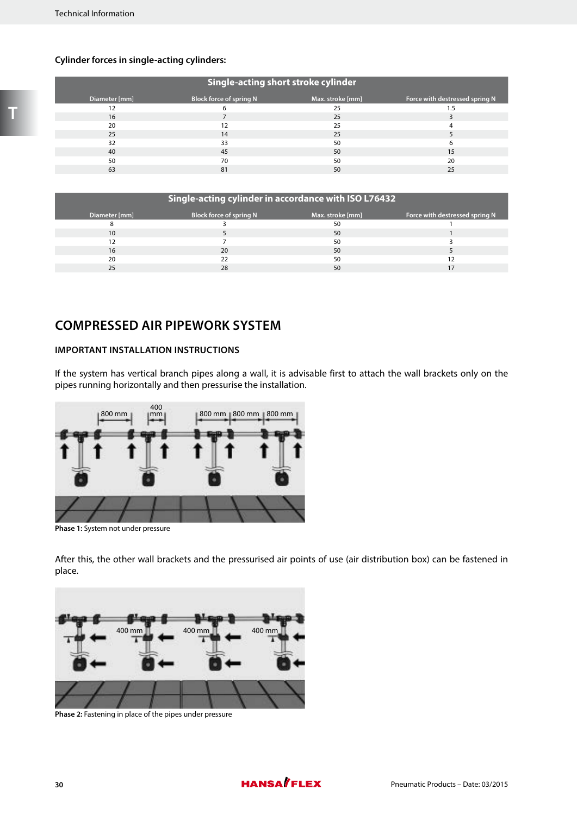## **Cylinder forces in single-acting cylinders:**

| Single-acting short stroke cylinder |                                |                  |                                |  |  |  |  |
|-------------------------------------|--------------------------------|------------------|--------------------------------|--|--|--|--|
| Diameter [mm]                       | <b>Block force of spring N</b> | Max. stroke [mm] | Force with destressed spring N |  |  |  |  |
| 12                                  |                                | 25               | 1.5                            |  |  |  |  |
| 16                                  |                                | 25               |                                |  |  |  |  |
| 20                                  | 12                             | 25               |                                |  |  |  |  |
| 25                                  | 14                             | 25               |                                |  |  |  |  |
| 32                                  | 33                             | 50               | 6                              |  |  |  |  |
| 40                                  | 45                             | 50               | 15                             |  |  |  |  |
| 50                                  | 70                             | 50               | 20                             |  |  |  |  |
| 63                                  | 81                             | 50               | 25                             |  |  |  |  |

| Single-acting cylinder in accordance with ISO L76432 |                                |                  |                                |  |  |
|------------------------------------------------------|--------------------------------|------------------|--------------------------------|--|--|
| Diameter [mm]                                        | <b>Block force of spring N</b> | Max. stroke [mm] | Force with destressed spring N |  |  |
|                                                      |                                | 50               |                                |  |  |
| 10                                                   |                                | 50               |                                |  |  |
| 12                                                   |                                | 50               |                                |  |  |
| 16                                                   | 20                             | 50               |                                |  |  |
| 20                                                   |                                | 50               |                                |  |  |
| 25                                                   | 28                             | 50               |                                |  |  |

## **COMPRESSED AIR PIPEWORK SYSTEM**

## **IMPORTANT INSTALLATION INSTRUCTIONS**

If the system has vertical branch pipes along a wall, it is advisable first to attach the wall brackets only on the pipes running horizontally and then pressurise the installation.



Phase 1: System not under pressure

After this, the other wall brackets and the pressurised air points of use (air distribution box) can be fastened in place.



**Phase 2:** Fastening in place of the pipes under pressure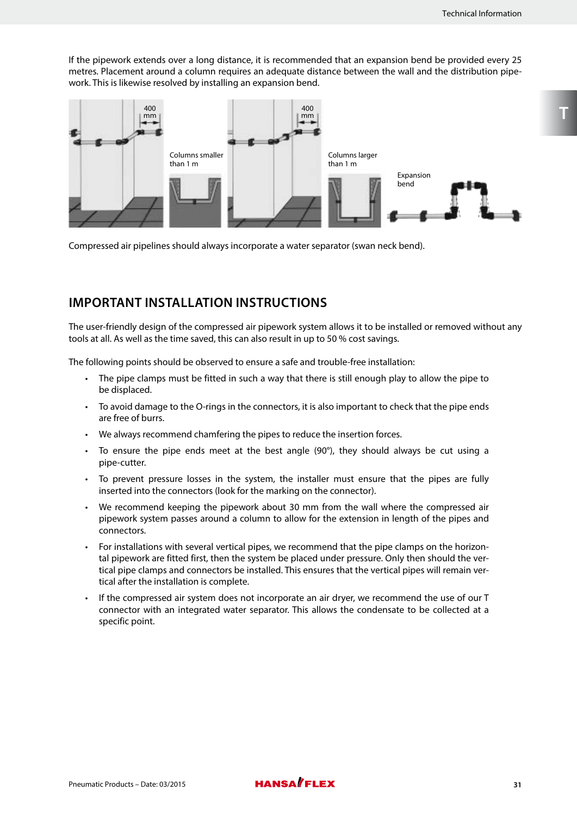If the pipework extends over a long distance, it is recommended that an expansion bend be provided every 25 metres. Placement around a column requires an adequate distance between the wall and the distribution pipework. This is likewise resolved by installing an expansion bend.



Compressed air pipelines should always incorporate a water separator (swan neck bend).

## **IMPORTANT INSTALLATION INSTRUCTIONS**

The user-friendly design of the compressed air pipework system allows it to be installed or removed without any tools at all. As well as the time saved, this can also result in up to 50 % cost savings.

The following points should be observed to ensure a safe and trouble-free installation:

- The pipe clamps must be fitted in such a way that there is still enough play to allow the pipe to be displaced.
- To avoid damage to the O-rings in the connectors, it is also important to check that the pipe ends are free of burrs.
- We always recommend chamfering the pipes to reduce the insertion forces.
- To ensure the pipe ends meet at the best angle  $(90^\circ)$ , they should always be cut using a pipe-cutter.
- To prevent pressure losses in the system, the installer must ensure that the pipes are fully inserted into the connectors (look for the marking on the connector).
- We recommend keeping the pipework about 30 mm from the wall where the compressed air pipework system passes around a column to allow for the extension in length of the pipes and connectors.
- For installations with several vertical pipes, we recommend that the pipe clamps on the horizontal pipework are fitted first, then the system be placed under pressure. Only then should the vertical pipe clamps and connectors be installed. This ensures that the vertical pipes will remain vertical after the installation is complete.
- If the compressed air system does not incorporate an air dryer, we recommend the use of our T connector with an integrated water separator. This allows the condensate to be collected at a specific point.

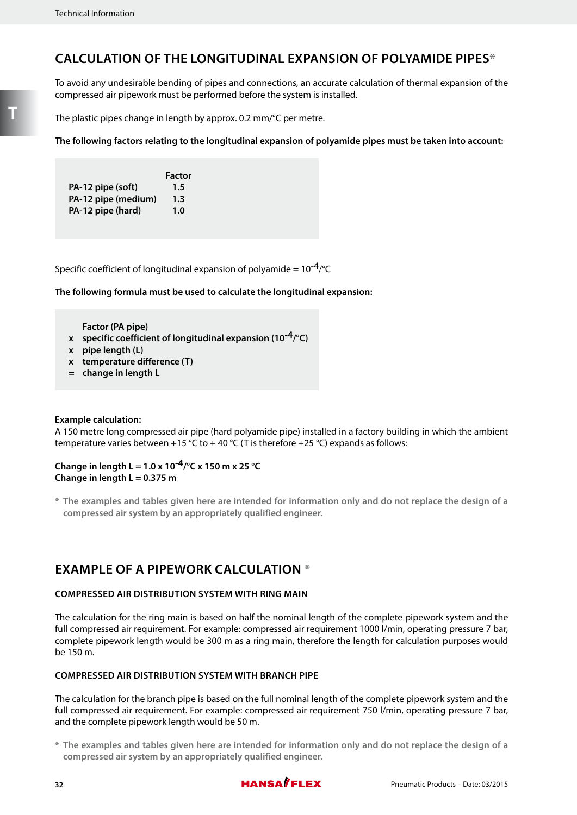## **CALCULATION OF THE LONGITUDINAL EXPANSION OF POLYAMIDE PIPES\***

To avoid any undesirable bending of pipes and connections, an accurate calculation of thermal expansion of the compressed air pipework must be performed before the system is installed.

The plastic pipes change in length by approx. 0.2 mm/°C per metre.

**The following factors relating to the longitudinal expansion of polyamide pipes must be taken into account:**

|                     | <b>Factor</b> |
|---------------------|---------------|
| PA-12 pipe (soft)   | $1.5\,$       |
| PA-12 pipe (medium) | 1.3           |
| PA-12 pipe (hard)   | 1.0           |

Specific coefficient of longitudinal expansion of polyamide =  $10^{-4}$ /°C

**The following formula must be used to calculate the longitudinal expansion:**

**Factor (PA pipe)**

- **x specific coefficient of longitudinal expansion (10-4/°C)**
- **x pipe length (L)**
- **x temperature difference (T)**
- **= change in length L**

#### **Example calculation:**

A 150 metre long compressed air pipe (hard polyamide pipe) installed in a factory building in which the ambient temperature varies between +15 °C to +40 °C (T is therefore +25 °C) expands as follows:

## **Change in length L = 1.0 x 10-4/°C x 150 m x 25 °C Change in length L = 0.375 m**

**\* The examples and tables given here are intended for information only and do not replace the design of a compressed air system by an appropriately qualified engineer.**

## **EXAMPLE OF A PIPEWORK CALCULATION \***

#### **COMPRESSED AIR DISTRIBUTION SYSTEM WITH RING MAIN**

The calculation for the ring main is based on half the nominal length of the complete pipework system and the full compressed air requirement. For example: compressed air requirement 1000 l/min, operating pressure 7 bar, complete pipework length would be 300 m as a ring main, therefore the length for calculation purposes would be 150 m.

## **COMPRESSED AIR DISTRIBUTION SYSTEM WITH BRANCH PIPE**

The calculation for the branch pipe is based on the full nominal length of the complete pipework system and the full compressed air requirement. For example: compressed air requirement 750 l/min, operating pressure 7 bar, and the complete pipework length would be 50 m.

**\* The examples and tables given here are intended for information only and do not replace the design of a compressed air system by an appropriately qualified engineer.**

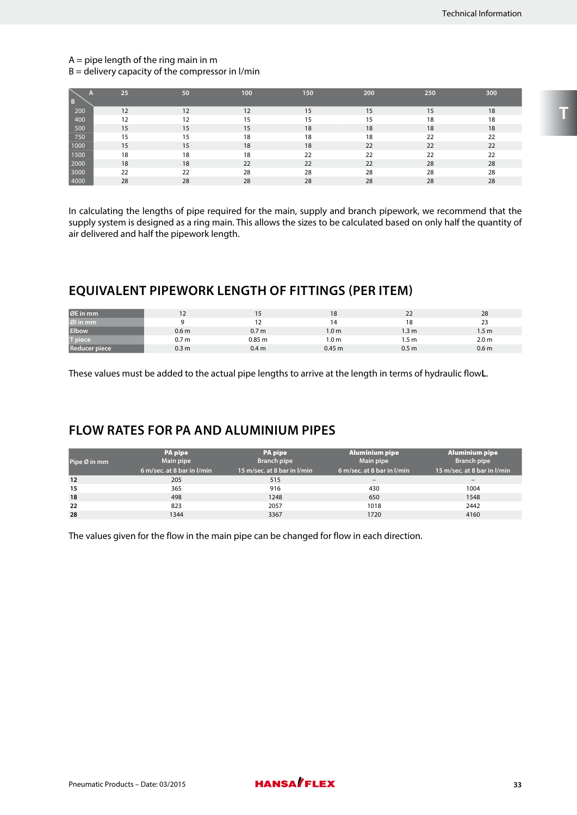#### $A =$  pipe length of the ring main in m

 $B =$  delivery capacity of the compressor in l/min

| $\overline{B}$ | 25 | 50 | 100 | 150 | 200 | 250 | 300 |
|----------------|----|----|-----|-----|-----|-----|-----|
| 200            | 12 | 12 | 12  | 15  | 15  | 15  | 18  |
| 400            | 12 | 12 | 15  | 15  | 15  | 18  | 18  |
| 500            | 15 | 15 | 15  | 18  | 18  | 18  | 18  |
| 750            | 15 | 15 | 18  | 18  | 18  | 22  | 22  |
| 1000           | 15 | 15 | 18  | 18  | 22  | 22  | 22  |
| 1500           | 18 | 18 | 18  | 22  | 22  | 22  | 22  |
| 2000           | 18 | 18 | 22  | 22  | 22  | 28  | 28  |
| 3000           | 22 | 22 | 28  | 28  | 28  | 28  | 28  |
| 4000           | 28 | 28 | 28  | 28  | 28  | 28  | 28  |

In calculating the lengths of pipe required for the main, supply and branch pipework, we recommend that the supply system is designed as a ring main. This allows the sizes to be calculated based on only half the quantity of air delivered and half the pipework length.

## **EQUIVALENT PIPEWORK LENGTH OF FITTINGS (PER ITEM)**

| ØE in mm             |                  | 15                | 18               | 22               | 28               |
|----------------------|------------------|-------------------|------------------|------------------|------------------|
| Øl in mm             |                  |                   |                  | 18               | 23               |
| <b>Elbow</b>         | 0.6 <sub>m</sub> | 0.7 <sub>m</sub>  | 1.0 <sub>m</sub> | 1.3 m            | 1.5 <sub>m</sub> |
| T piece              | 0.7 <sub>m</sub> | 0.85 <sub>m</sub> | 1.0 m            | 1.5 m            | 2.0 <sub>m</sub> |
| <b>Reducer piece</b> | 0.3 <sub>m</sub> | 0.4 <sub>m</sub>  | 0.45 m           | 0.5 <sub>m</sub> | 0.6 <sub>m</sub> |

These values must be added to the actual pipe lengths to arrive at the length in terms of hydraulic flow**L**.

## **FLOW RATES FOR PA AND ALUMINIUM PIPES**

| Pipe Ø in mm | <b>PA</b> pipe<br><b>Main pipe</b><br>6 m/sec. at 8 bar in I/min | <b>PA</b> pipe<br><b>Branch pipe</b><br>15 m/sec. at 8 bar in I/min | <b>Aluminium pipe</b><br>Main pipe<br>6 m/sec. at 8 bar in I/min | <b>Aluminium pipe</b><br><b>Branch pipe</b><br>15 m/sec. at 8 bar in l/min |
|--------------|------------------------------------------------------------------|---------------------------------------------------------------------|------------------------------------------------------------------|----------------------------------------------------------------------------|
| 12           | 205                                                              | 515                                                                 | $\qquad \qquad$                                                  |                                                                            |
| 15           | 365                                                              | 916                                                                 | 430                                                              | 1004                                                                       |
| 18           | 498                                                              | 1248                                                                | 650                                                              | 1548                                                                       |
| 22           | 823                                                              | 2057                                                                | 1018                                                             | 2442                                                                       |
| 28           | 1344                                                             | 3367                                                                | 1720                                                             | 4160                                                                       |

The values given for the flow in the main pipe can be changed for flow in each direction.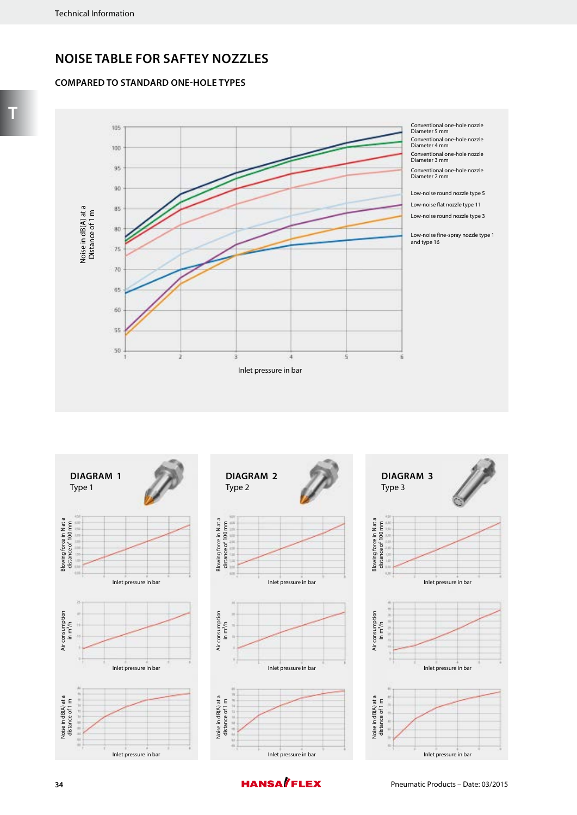## **NOISE TABLE FOR SAFTEY NOZZLES**

## **COMPARED TO STANDARD ONE-HOLE TYPES**









**T**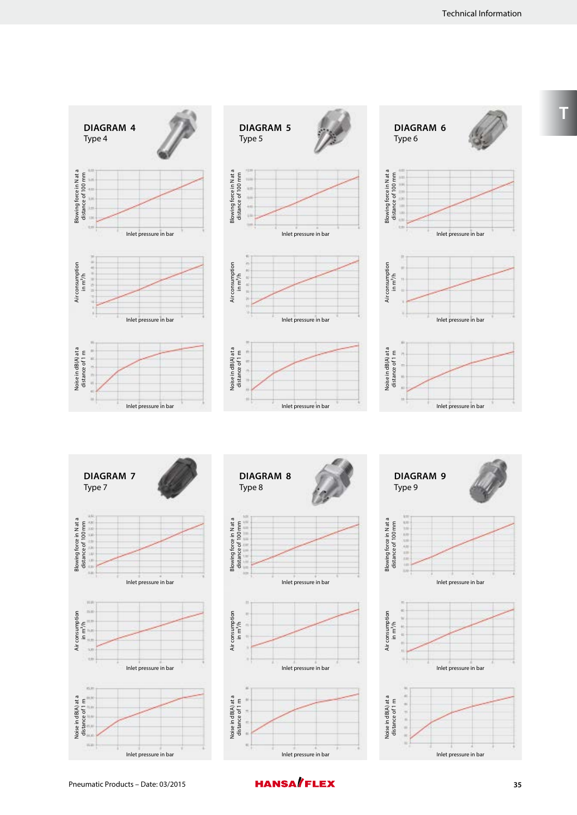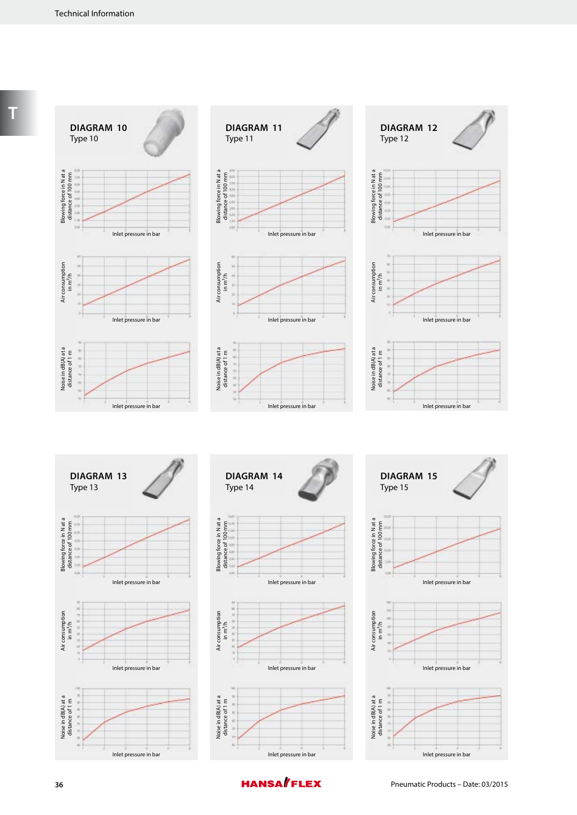